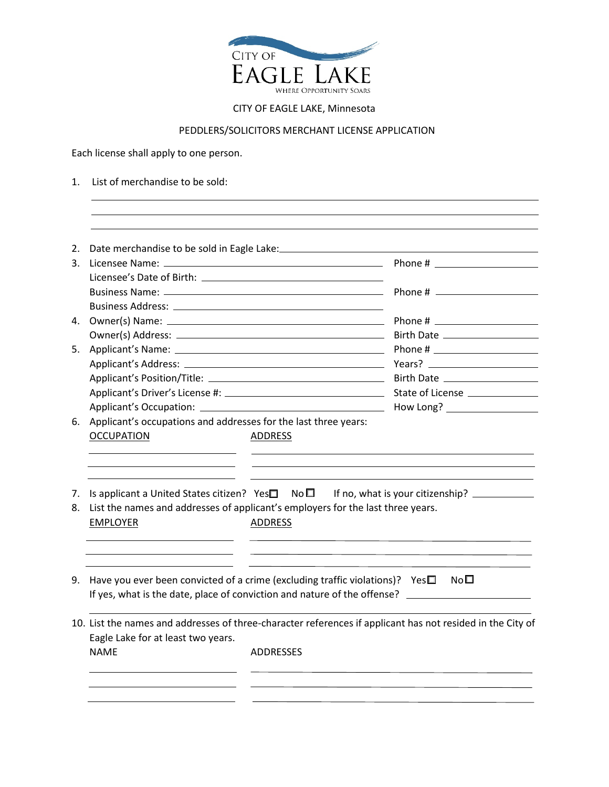

## CITY OF EAGLE LAKE, Minnesota

## PEDDLERS/SOLICITORS MERCHANT LICENSE APPLICATION

Each license shall apply to one person.

1. List of merchandise to be sold:

| 2.       |                                                                                                    |                |                                                                                                                          |
|----------|----------------------------------------------------------------------------------------------------|----------------|--------------------------------------------------------------------------------------------------------------------------|
|          |                                                                                                    |                |                                                                                                                          |
|          |                                                                                                    |                |                                                                                                                          |
|          |                                                                                                    |                |                                                                                                                          |
|          |                                                                                                    |                |                                                                                                                          |
|          |                                                                                                    |                |                                                                                                                          |
|          |                                                                                                    |                |                                                                                                                          |
|          |                                                                                                    |                |                                                                                                                          |
|          |                                                                                                    |                |                                                                                                                          |
|          |                                                                                                    |                |                                                                                                                          |
|          |                                                                                                    |                | State of License ___________                                                                                             |
|          |                                                                                                    |                |                                                                                                                          |
|          | 6. Applicant's occupations and addresses for the last three years:<br><b>OCCUPATION</b>            | <b>ADDRESS</b> | How Long? Network and the state of the state of the state of the state of the state of the state of the state o          |
|          |                                                                                                    |                |                                                                                                                          |
| 7.<br>8. | List the names and addresses of applicant's employers for the last three years.<br><b>EMPLOYER</b> | <b>ADDRESS</b> | Is applicant a United States citizen? Yes $\square$ No $\square$ If no, what is your citizenship? ___________            |
|          | 9. Have you ever been convicted of a crime (excluding traffic violations)? Yes $\Box$              |                | No <sub>II</sub><br>If yes, what is the date, place of conviction and nature of the offense? ___________________________ |
|          | Eagle Lake for at least two years.                                                                 |                | 10. List the names and addresses of three-character references if applicant has not resided in the City of               |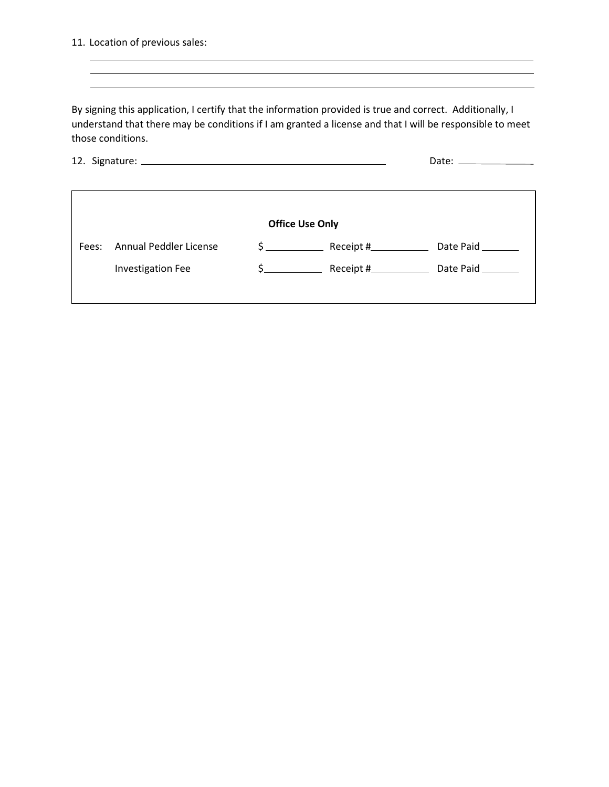11. Location of previous sales:

 $\sim$ 

By signing this application, I certify that the information provided is true and correct. Additionally, I understand that there may be conditions if I am granted a license and that I will be responsible to meet those conditions.

<u> 1989 - Johann Stoff, amerikansk politiker (d. 1989)</u>

|                        |                               | Date: $\frac{1}{2}$ Date: $\frac{1}{2}$ Date: $\frac{1}{2}$ Date: $\frac{1}{2}$ Date: $\frac{1}{2}$ Date: $\frac{1}{2}$ Date: $\frac{1}{2}$ Date: $\frac{1}{2}$ Date: $\frac{1}{2}$ Date: $\frac{1}{2}$ Date: $\frac{1}{2}$ Date: $\frac{1}{2}$ Date: $\frac{1}{2}$ Date: $\frac{1}{2$ |  |                   |  |  |  |
|------------------------|-------------------------------|----------------------------------------------------------------------------------------------------------------------------------------------------------------------------------------------------------------------------------------------------------------------------------------|--|-------------------|--|--|--|
|                        |                               |                                                                                                                                                                                                                                                                                        |  |                   |  |  |  |
|                        |                               |                                                                                                                                                                                                                                                                                        |  |                   |  |  |  |
| <b>Office Use Only</b> |                               |                                                                                                                                                                                                                                                                                        |  |                   |  |  |  |
| Fees:                  | <b>Annual Peddler License</b> | $\zeta$                                                                                                                                                                                                                                                                                |  | Date Paid ______  |  |  |  |
|                        | <b>Investigation Fee</b>      | $\frac{1}{2}$                                                                                                                                                                                                                                                                          |  | Date Paid _______ |  |  |  |
|                        |                               |                                                                                                                                                                                                                                                                                        |  |                   |  |  |  |
|                        |                               |                                                                                                                                                                                                                                                                                        |  |                   |  |  |  |